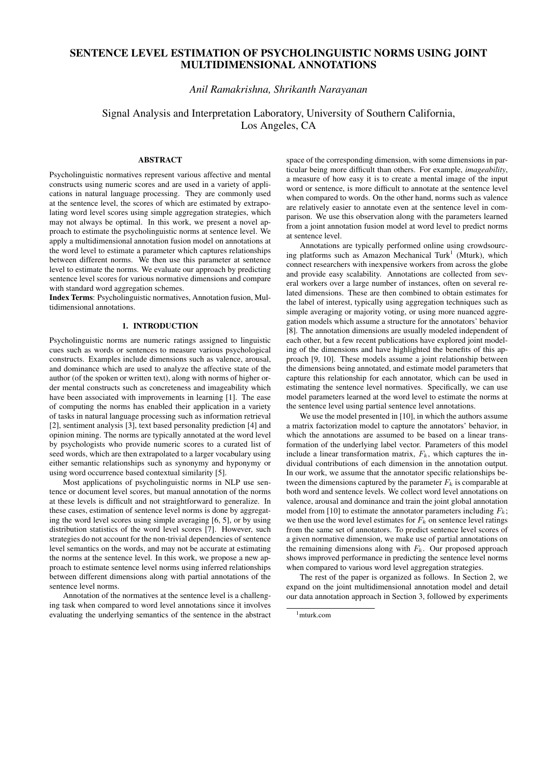# SENTENCE LEVEL ESTIMATION OF PSYCHOLINGUISTIC NORMS USING JOINT MULTIDIMENSIONAL ANNOTATIONS

*Anil Ramakrishna, Shrikanth Narayanan*

Signal Analysis and Interpretation Laboratory, University of Southern California, Los Angeles, CA

### ABSTRACT

Psycholinguistic normatives represent various affective and mental constructs using numeric scores and are used in a variety of applications in natural language processing. They are commonly used at the sentence level, the scores of which are estimated by extrapolating word level scores using simple aggregation strategies, which may not always be optimal. In this work, we present a novel approach to estimate the psycholinguistic norms at sentence level. We apply a multidimensional annotation fusion model on annotations at the word level to estimate a parameter which captures relationships between different norms. We then use this parameter at sentence level to estimate the norms. We evaluate our approach by predicting sentence level scores for various normative dimensions and compare with standard word aggregation schemes.

Index Terms: Psycholinguistic normatives, Annotation fusion, Multidimensional annotations.

## 1. INTRODUCTION

Psycholinguistic norms are numeric ratings assigned to linguistic cues such as words or sentences to measure various psychological constructs. Examples include dimensions such as valence, arousal, and dominance which are used to analyze the affective state of the author (of the spoken or written text), along with norms of higher order mental constructs such as concreteness and imageability which have been associated with improvements in learning [1]. The ease of computing the norms has enabled their application in a variety of tasks in natural language processing such as information retrieval [2], sentiment analysis [3], text based personality prediction [4] and opinion mining. The norms are typically annotated at the word level by psychologists who provide numeric scores to a curated list of seed words, which are then extrapolated to a larger vocabulary using either semantic relationships such as synonymy and hyponymy or using word occurrence based contextual similarity [5].

Most applications of psycholinguistic norms in NLP use sentence or document level scores, but manual annotation of the norms at these levels is difficult and not straightforward to generalize. In these cases, estimation of sentence level norms is done by aggregating the word level scores using simple averaging [6, 5], or by using distribution statistics of the word level scores [7]. However, such strategies do not account for the non-trivial dependencies of sentence level semantics on the words, and may not be accurate at estimating the norms at the sentence level. In this work, we propose a new approach to estimate sentence level norms using inferred relationships between different dimensions along with partial annotations of the sentence level norms.

Annotation of the normatives at the sentence level is a challenging task when compared to word level annotations since it involves evaluating the underlying semantics of the sentence in the abstract space of the corresponding dimension, with some dimensions in particular being more difficult than others. For example, *imageability*, a measure of how easy it is to create a mental image of the input word or sentence, is more difficult to annotate at the sentence level when compared to words. On the other hand, norms such as valence are relatively easier to annotate even at the sentence level in comparison. We use this observation along with the parameters learned from a joint annotation fusion model at word level to predict norms at sentence level.

Annotations are typically performed online using crowdsourcing platforms such as Amazon Mechanical Turk<sup>1</sup> (Mturk), which connect researchers with inexpensive workers from across the globe and provide easy scalability. Annotations are collected from several workers over a large number of instances, often on several related dimensions. These are then combined to obtain estimates for the label of interest, typically using aggregation techniques such as simple averaging or majority voting, or using more nuanced aggregation models which assume a structure for the annotators' behavior [8]. The annotation dimensions are usually modeled independent of each other, but a few recent publications have explored joint modeling of the dimensions and have highlighted the benefits of this approach [9, 10]. These models assume a joint relationship between the dimensions being annotated, and estimate model parameters that capture this relationship for each annotator, which can be used in estimating the sentence level normatives. Specifically, we can use model parameters learned at the word level to estimate the norms at the sentence level using partial sentence level annotations.

We use the model presented in [10], in which the authors assume a matrix factorization model to capture the annotators' behavior, in which the annotations are assumed to be based on a linear transformation of the underlying label vector. Parameters of this model include a linear transformation matrix,  $F_k$ , which captures the individual contributions of each dimension in the annotation output. In our work, we assume that the annotator specific relationships between the dimensions captured by the parameter  $F_k$  is comparable at both word and sentence levels. We collect word level annotations on valence, arousal and dominance and train the joint global annotation model from [10] to estimate the annotator parameters including  $F_k$ ; we then use the word level estimates for  $F_k$  on sentence level ratings from the same set of annotators. To predict sentence level scores of a given normative dimension, we make use of partial annotations on the remaining dimensions along with  $F_k$ . Our proposed approach shows improved performance in predicting the sentence level norms when compared to various word level aggregation strategies.

The rest of the paper is organized as follows. In Section 2, we expand on the joint multidimensional annotation model and detail our data annotation approach in Section 3, followed by experiments

 $1$ mturk.com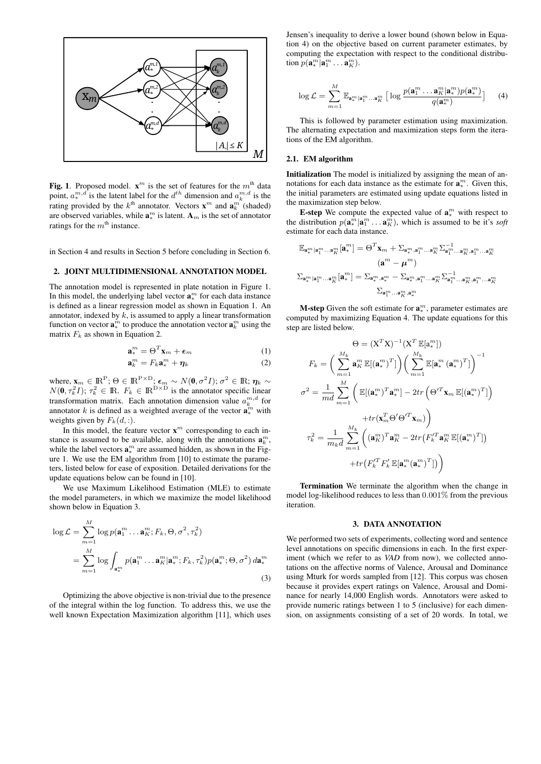

Fig. 1. Proposed model.  $\mathbf{x}^m$  is the set of features for the  $m^{\text{th}}$  data point,  $a_k^{m,d}$  is the latent label for the  $d^{th}$  dimension and  $a_k^{m,d}$  is the rating provided by the  $k^{\text{th}}$  annotator. Vectors  $\mathbf{x}^{m}$  and  $\mathbf{a}_{k}^{m}$  (shaded) are observed variables, while  $\mathbf{a}_{*}^{m}$  is latent.  $\mathbf{A}_{m}$  is the set of annotator ratings for the  $m<sup>th</sup>$  instance.

in Section 4 and results in Section 5 before concluding in Section 6.

## 2. JOINT MULTIDIMENSIONAL ANNOTATION MODEL

The annotation model is represented in plate notation in Figure 1. In this model, the underlying label vector  $\mathbf{a}^m_*$  for each data instance is defined as a linear regression model as shown in Equation 1. An annotator, indexed by  $k$ , is assumed to apply a linear transformation function on vector  $\mathbf{a}_*^m$  to produce the annotation vector  $\mathbf{a}_k^m$  using the matrix  $F_k$  as shown in Equation 2.

$$
\mathbf{a}_*^m = \Theta^T \mathbf{x}_m + \boldsymbol{\epsilon}_m \tag{1}
$$

$$
\mathbf{a}_k^m = F_k \mathbf{a}_*^m + \boldsymbol{\eta}_k \tag{2}
$$

where,  $\mathbf{x}_m \in \rm I\!R^P; \Theta \in {\rm I\!R}^{P \times D};$   $\boldsymbol{\epsilon}_m \sim N(\mathbf{0}, \sigma^2 I);$   $\sigma^2 \in {\rm I\!R};$   $\boldsymbol{\eta}_k \sim$  $N(\mathbf{0}, \tau_k^2 I); \tau_k^2 \in \mathbb{R}$ .  $F_k \in \mathbb{R}^{D \times D}$  is the annotator specific linear transformation matrix. Each annotation dimension value  $a_k^{m,d}$  for annotator k is defined as a weighted average of the vector  $\mathbf{a}_{*}^{m}$  with weights given by  $F_k(d, :)$ .

In this model, the feature vector  $\mathbf{x}^m$  corresponding to each instance is assumed to be available, along with the annotations  $\mathbf{a}_k^m$ , while the label vectors  $a_*^m$  are assumed hidden, as shown in the Figure 1. We use the EM algorithm from [10] to estimate the parameters, listed below for ease of exposition. Detailed derivations for the update equations below can be found in [10].

We use Maximum Likelihood Estimation (MLE) to estimate the model parameters, in which we maximize the model likelihood shown below in Equation 3.

$$
\log \mathcal{L} = \sum_{m=1}^{M} \log p(\mathbf{a}_{1}^{m} \dots \mathbf{a}_{K}^{m}; F_{k}, \Theta, \sigma^{2}, \tau_{k}^{2})
$$
  
= 
$$
\sum_{m=1}^{M} \log \int_{\mathbf{a}_{*}^{m}} p(\mathbf{a}_{1}^{m} \dots \mathbf{a}_{K}^{m} | \mathbf{a}_{*}^{m}; F_{k}, \tau_{k}^{2}) p(\mathbf{a}_{*}^{m}; \Theta, \sigma^{2}) d\mathbf{a}_{*}^{m}
$$
(3)

Optimizing the above objective is non-trivial due to the presence of the integral within the log function. To address this, we use the well known Expectation Maximization algorithm [11], which uses Jensen's inequality to derive a lower bound (shown below in Equation 4) on the objective based on current parameter estimates, by computing the expectation with respect to the conditional distribution  $p(\mathbf{a}_*^m | \mathbf{a}_1^m \dots \mathbf{a}_K^m)$ .

$$
\log \mathcal{L} = \sum_{m=1}^{M} \mathbb{E}_{\mathbf{a}_{*}^{m}|\mathbf{a}_{1}^{m}... \mathbf{a}_{K}^{m}} \left[ \log \frac{p(\mathbf{a}_{1}^{m} ... \mathbf{a}_{K}^{m}|\mathbf{a}_{*}^{m}) p(\mathbf{a}_{*}^{m})}{q(\mathbf{a}_{*}^{m})} \right] \tag{4}
$$

This is followed by parameter estimation using maximization. The alternating expectation and maximization steps form the iterations of the EM algorithm.

### 2.1. EM algorithm

Initialization The model is initialized by assigning the mean of annotations for each data instance as the estimate for  $a_*^m$ . Given this, the initial parameters are estimated using update equations listed in the maximization step below.

**E-step** We compute the expected value of  $\mathbf{a}^m_*$  with respect to the distribution  $p(\mathbf{a}_*^m | \mathbf{a}_1^m \dots \mathbf{a}_K^m)$ , which is assumed to be it's *soft* estimate for each data instance.

$$
\begin{aligned} \mathbb{E}_{\mathbf{a}_*^m | \mathbf{a}_1^m \dots \mathbf{a}_K^m}[\mathbf{a}_*^m] &= \Theta^T \mathbf{x}_m + \Sigma_{\mathbf{a}_*^m, \mathbf{a}_1^m \dots \mathbf{a}_K^m} \Sigma_{\mathbf{a}_1^m \dots \mathbf{a}_K^m, \mathbf{a}_1^m \dots \mathbf{a}_K^m}^{-1} \\ & \quad \left( \mathbf{a}^m - \boldsymbol{\mu}^m \right) \\ \Sigma_{\mathbf{a}_*^m | \mathbf{a}_1^m \dots \mathbf{a}_K^m}[\mathbf{a}_*^m] &= \Sigma_{\mathbf{a}_*^m, \mathbf{a}_*^m} - \Sigma_{\mathbf{a}_*^m, \mathbf{a}_1^m \dots \mathbf{a}_K^m} \Sigma_{\mathbf{a}_1^m \dots \mathbf{a}_K^m, \mathbf{a}_1^m \dots \mathbf{a}_K^m}^{-1} \\ & \quad \Sigma_{\mathbf{a}_1^m \dots \mathbf{a}_K^m, \mathbf{a}_*^m} \end{aligned}
$$

**M-step** Given the soft estimate for  $a_*^m$ , parameter estimates are computed by maximizing Equation 4. The update equations for this step are listed below.

$$
\Theta = (\mathbf{X}^T \mathbf{X})^{-1} (\mathbf{X}^T \mathbb{E}[\mathbf{a}_*^m])
$$
  
\n
$$
F_k = \left(\sum_{m=1}^{M_k} \mathbf{a}_K^m \mathbb{E}[(\mathbf{a}_*^m)^T]\right) \left(\sum_{m=1}^{M_k} \mathbb{E}[\mathbf{a}_*^m (\mathbf{a}_*^m)^T]\right)^{-1}
$$
  
\n
$$
\sigma^2 = \frac{1}{md} \sum_{m=1}^M \left(\mathbb{E}[(\mathbf{a}_*^m)^T \mathbf{a}_*^m] - 2tr \left(\Theta'^T \mathbf{x}_m \mathbb{E}[(\mathbf{a}_*^m)^T]\right) + tr(\mathbf{x}_m^T \Theta' \Theta'^T \mathbf{x}_m)\right)
$$
  
\n
$$
\tau_k^2 = \frac{1}{m_k d} \sum_{m=1}^{M_k} \left( (\mathbf{a}_K^m)^T \mathbf{a}_K^m - 2tr \left(F_k'^T \mathbf{a}_K^m \mathbb{E}[(\mathbf{a}_*^m)^T]\right) + tr \left(F_k'^T F_k' \mathbb{E}[\mathbf{a}_*^m (\mathbf{a}_*^m)^T]\right) \right)
$$

Termination We terminate the algorithm when the change in model log-likelihood reduces to less than 0.001% from the previous iteration.

## 3. DATA ANNOTATION

We performed two sets of experiments, collecting word and sentence level annotations on specific dimensions in each. In the first experiment (which we refer to as *VAD* from now), we collected annotations on the affective norms of Valence, Arousal and Dominance using Mturk for words sampled from [12]. This corpus was chosen because it provides expert ratings on Valence, Arousal and Dominance for nearly 14,000 English words. Annotators were asked to provide numeric ratings between 1 to 5 (inclusive) for each dimension, on assignments consisting of a set of 20 words. In total, we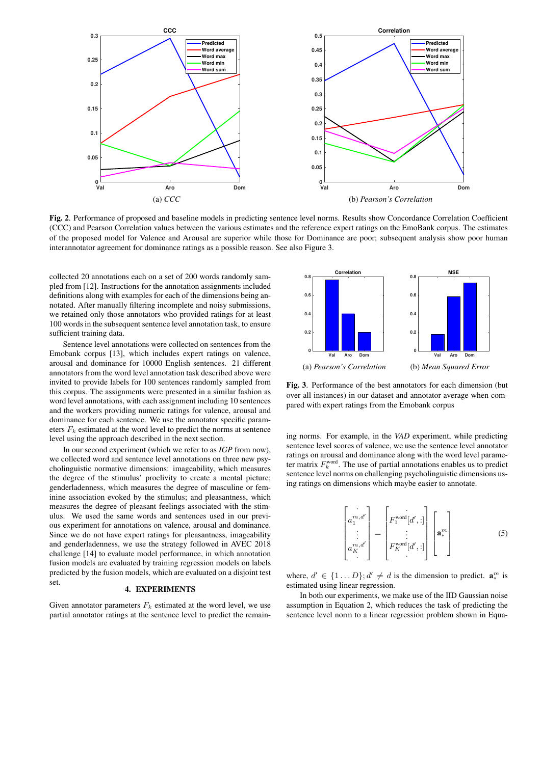

Fig. 2. Performance of proposed and baseline models in predicting sentence level norms. Results show Concordance Correlation Coefficient (CCC) and Pearson Correlation values between the various estimates and the reference expert ratings on the EmoBank corpus. The estimates of the proposed model for Valence and Arousal are superior while those for Dominance are poor; subsequent analysis show poor human interannotator agreement for dominance ratings as a possible reason. See also Figure 3.

collected 20 annotations each on a set of 200 words randomly sampled from [12]. Instructions for the annotation assignments included definitions along with examples for each of the dimensions being annotated. After manually filtering incomplete and noisy submissions, we retained only those annotators who provided ratings for at least 100 words in the subsequent sentence level annotation task, to ensure sufficient training data.

Sentence level annotations were collected on sentences from the Emobank corpus [13], which includes expert ratings on valence, arousal and dominance for 10000 English sentences. 21 different annotators from the word level annotation task described above were invited to provide labels for 100 sentences randomly sampled from this corpus. The assignments were presented in a similar fashion as word level annotations, with each assignment including 10 sentences and the workers providing numeric ratings for valence, arousal and dominance for each sentence. We use the annotator specific parameters  $F_k$  estimated at the word level to predict the norms at sentence level using the approach described in the next section.

In our second experiment (which we refer to as *IGP* from now), we collected word and sentence level annotations on three new psycholinguistic normative dimensions: imageability, which measures the degree of the stimulus' proclivity to create a mental picture; genderladenness, which measures the degree of masculine or feminine association evoked by the stimulus; and pleasantness, which measures the degree of pleasant feelings associated with the stimulus. We used the same words and sentences used in our previous experiment for annotations on valence, arousal and dominance. Since we do not have expert ratings for pleasantness, imageability and genderladenness, we use the strategy followed in AVEC 2018 challenge [14] to evaluate model performance, in which annotation fusion models are evaluated by training regression models on labels predicted by the fusion models, which are evaluated on a disjoint test set.

## 4. EXPERIMENTS

Given annotator parameters  $F_k$  estimated at the word level, we use partial annotator ratings at the sentence level to predict the remain-



Fig. 3. Performance of the best annotators for each dimension (but over all instances) in our dataset and annotator average when compared with expert ratings from the Emobank corpus

ing norms. For example, in the *VAD* experiment, while predicting sentence level scores of valence, we use the sentence level annotator ratings on arousal and dominance along with the word level parameter matrix  $F_k^{\text{word}}$ . The use of partial annotations enables us to predict sentence level norms on challenging psycholinguistic dimensions using ratings on dimensions which maybe easier to annotate.

$$
\begin{bmatrix} a_1^{m,d'} \\ \vdots \\ a_K^{m,d'} \end{bmatrix} = \begin{bmatrix} F_1^{\text{word}}[d',:] \\ \vdots \\ F_K^{\text{word}}[d',:] \end{bmatrix} \begin{bmatrix} \\ \mathbf{a}_*^m \\ \vdots \end{bmatrix}
$$
 (5)

where,  $d' \in \{1...D\}$ ;  $d' \neq d$  is the dimension to predict.  $\mathbf{a}_{*}^{m}$  is estimated using linear regression.

In both our experiments, we make use of the IID Gaussian noise assumption in Equation 2, which reduces the task of predicting the sentence level norm to a linear regression problem shown in Equa-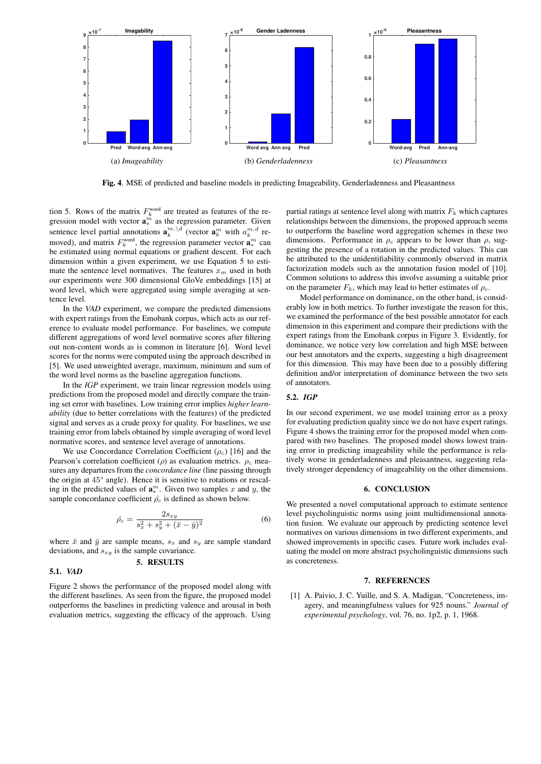

Fig. 4. MSE of predicted and baseline models in predicting Imageability, Genderladenness and Pleasantness

tion 5. Rows of the matrix  $F_k^{\text{word}}$  are treated as features of the regression model with vector  $a_*^m$  as the regression parameter. Given sentence level partial annotations  $\mathbf{a}_k^{m,\lambda d}$  (vector  $\mathbf{a}_k^m$  with  $a_k^{m,d}$  removed), and matrix  $F_k^{\text{word}}$ , the regression parameter vector  $\mathbf{a}_*^m$  can be estimated using normal equations or gradient descent. For each dimension within a given experiment, we use Equation 5 to estimate the sentence level normatives. The features  $x_m$  used in both our experiments were 300 dimensional GloVe embeddings [15] at word level, which were aggregated using simple averaging at sentence level.

In the *VAD* experiment, we compare the predicted dimensions with expert ratings from the Emobank corpus, which acts as our reference to evaluate model performance. For baselines, we compute different aggregations of word level normative scores after filtering out non-content words as is common in literature [6]. Word level scores for the norms were computed using the approach described in [5]. We used unweighted average, maximum, minimum and sum of the word level norms as the baseline aggregation functions.

In the *IGP* experiment, we train linear regression models using predictions from the proposed model and directly compare the training set error with baselines. Low training error implies *higher learnability* (due to better correlations with the features) of the predicted signal and serves as a crude proxy for quality. For baselines, we use training error from labels obtained by simple averaging of word level normative scores, and sentence level average of annotations.

We use Concordance Correlation Coefficient  $(\rho_c)$  [16] and the Pearson's correlation coefficient ( $\rho$ ) as evaluation metrics.  $\rho_c$  measures any departures from the *concordance line* (line passing through the origin at 45° angle). Hence it is sensitive to rotations or rescaling in the predicted values of  $a_*^m$ . Given two samples x and y, the sample concordance coefficient  $\rho_c$  is defined as shown below.

$$
\hat{\rho}_c = \frac{2s_{xy}}{s_x^2 + s_y^2 + (\bar{x} - \bar{y})^2} \tag{6}
$$

where  $\bar{x}$  and  $\bar{y}$  are sample means,  $s_x$  and  $s_y$  are sample standard deviations, and  $s_{xy}$  is the sample covariance.

## 5. RESULTS

5.1. *VAD*

Figure 2 shows the performance of the proposed model along with the different baselines. As seen from the figure, the proposed model outperforms the baselines in predicting valence and arousal in both evaluation metrics, suggesting the efficacy of the approach. Using partial ratings at sentence level along with matrix  $F_k$  which captures relationships between the dimensions, the proposed approach seems to outperform the baseline word aggregation schemes in these two dimensions. Performance in  $\rho_c$  appears to be lower than  $\rho$ , suggesting the presence of a rotation in the predicted values. This can be attributed to the unidentifiability commonly observed in matrix factorization models such as the annotation fusion model of [10]. Common solutions to address this involve assuming a suitable prior on the parameter  $F_k$ , which may lead to better estimates of  $\rho_c$ .

Model performance on dominance, on the other hand, is considerably low in both metrics. To further investigate the reason for this, we examined the performance of the best possible annotator for each dimension in this experiment and compare their predictions with the expert ratings from the Emobank corpus in Figure 3. Evidently, for dominance, we notice very low correlation and high MSE between our best annotators and the experts, suggesting a high disagreement for this dimension. This may have been due to a possibly differing definition and/or interpretation of dominance between the two sets of annotators.

## 5.2. *IGP*

In our second experiment, we use model training error as a proxy for evaluating prediction quality since we do not have expert ratings. Figure 4 shows the training error for the proposed model when compared with two baselines. The proposed model shows lowest training error in predicting imageability while the performance is relatively worse in genderladenness and pleasantness, suggesting relatively stronger dependency of imageability on the other dimensions.

#### 6. CONCLUSION

We presented a novel computational approach to estimate sentence level psycholinguistic norms using joint multidimensional annotation fusion. We evaluate our approach by predicting sentence level normatives on various dimensions in two different experiments, and showed improvements in specific cases. Future work includes evaluating the model on more abstract psycholinguistic dimensions such as concreteness.

### 7. REFERENCES

[1] A. Paivio, J. C. Yuille, and S. A. Madigan, "Concreteness, imagery, and meaningfulness values for 925 nouns." *Journal of experimental psychology*, vol. 76, no. 1p2, p. 1, 1968.